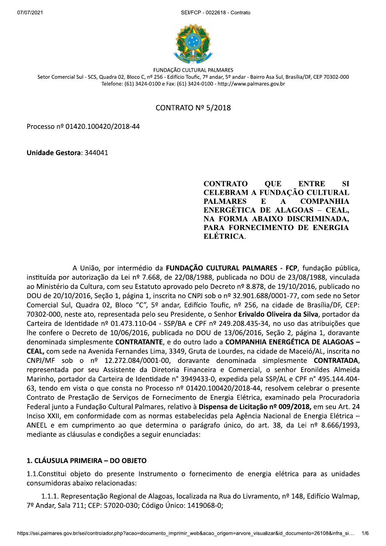

FUNDAÇÃO CULTURAL PALMARES Setor Comercial Sul - SCS, Quadra 02, Bloco C, nº 256 - Edifício Toufic, 7º andar, 5º andar - Bairro Asa Sul, Brasília/DF, CEP 70302-000 Telefone: (61) 3424-0100 e Fax: (61) 3424-0100 - http://www.palmares.gov.br

#### CONTRATO Nº 5/2018

Processo nº 01420.100420/2018-44

Unidade Gestora: 344041

**CONTRATO**  $SI$ **OUE ENTRE CELEBRAM A FUNDACÃO CULTURAL PALMARES**  $E$  $\mathbf{A}$ **COMPANHIA** ENERGÉTICA DE ALAGOAS - CEAL, NA FORMA ABAIXO DISCRIMINADA, PARA FORNECIMENTO DE ENERGIA ELÉTRICA.

A União, por intermédio da FUNDAÇÃO CULTURAL PALMARES - FCP, fundação pública, instituída por autorização da Lei nº 7.668, de 22/08/1988, publicada no DOU de 23/08/1988, vinculada ao Ministério da Cultura, com seu Estatuto aprovado pelo Decreto nº 8.878, de 19/10/2016, publicado no DOU de 20/10/2016, Seção 1, página 1, inscrita no CNPJ sob o nº 32.901.688/0001-77, com sede no Setor Comercial Sul, Quadra 02, Bloco "C", 5º andar, Edifício Toufic, nº 256, na cidade de Brasília/DF, CEP: 70302-000, neste ato, representada pelo seu Presidente, o Senhor Erivaldo Oliveira da Silva, portador da Carteira de Identidade nº 01.473.110-04 - SSP/BA e CPF nº 249.208.435-34, no uso das atribuições que lhe confere o Decreto de 10/06/2016, publicada no DOU de 13/06/2016, Seção 2, página 1, doravante denominada simplesmente CONTRATANTE, e do outro lado a COMPANHIA ENERGÉTICA DE ALAGOAS -CEAL, com sede na Avenida Fernandes Lima, 3349, Gruta de Lourdes, na cidade de Maceió/AL, inscrita no CNPJ/MF sob o nº 12.272.084/0001-00, doravante denominada simplesmente CONTRATADA, representada por seu Assistente da Diretoria Financeira e Comercial, o senhor Eronildes Almeida Marinho, portador da Carteira de Identidade nº 3949433-0, expedida pela SSP/AL e CPF nº 495.144.404-63, tendo em vista o que consta no Processo nº 01420.100420/2018-44, resolvem celebrar o presente Contrato de Prestação de Serviços de Fornecimento de Energia Elétrica, examinado pela Procuradoria Federal junto a Fundação Cultural Palmares, relativo à Dispensa de Licitação nº 009/2018, em seu Art. 24 Inciso XXII, em conformidade com as normas estabelecidas pela Agência Nacional de Energia Elétrica -ANEEL e em cumprimento ao que determina o parágrafo único, do art. 38, da Lei nº 8.666/1993, mediante as cláusulas e condições a seguir enunciadas:

#### 1. CLÁUSULA PRIMEIRA – DO OBJETO

1.1. Constitui objeto do presente Instrumento o fornecimento de energia elétrica para as unidades consumidoras abaixo relacionadas:

1.1.1. Representação Regional de Alagoas, localizada na Rua do Livramento, nº 148, Edifício Walmap, 7º Andar, Sala 711; CEP: 57020-030; Código Único: 1419068-0;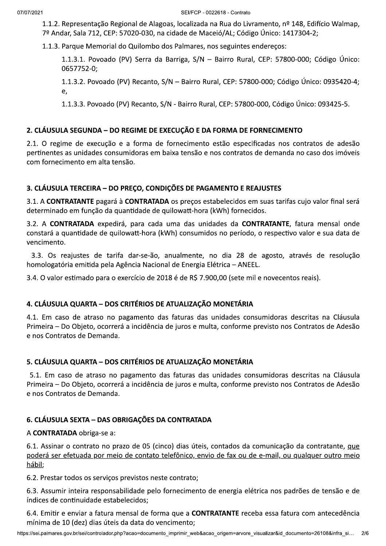1.1.2. Representação Regional de Alagoas, localizada na Rua do Livramento, nº 148, Edifício Walmap, 7º Andar, Sala 712, CEP: 57020-030, na cidade de Maceió/AL; Código Único: 1417304-2;

1.1.3. Parque Memorial do Quilombo dos Palmares, nos seguintes endereços:

1.1.3.1. Povoado (PV) Serra da Barriga, S/N - Bairro Rural, CEP: 57800-000; Código Único: 0657752-0;

1.1.3.2. Povoado (PV) Recanto, S/N - Bairro Rural, CEP: 57800-000; Código Único: 0935420-4; e,

1.1.3.3. Povoado (PV) Recanto, S/N - Bairro Rural, CEP: 57800-000, Código Único: 093425-5.

# 2. CLÁUSULA SEGUNDA – DO REGIME DE EXECUÇÃO E DA FORMA DE FORNECIMENTO

2.1. O regime de execução e a forma de fornecimento estão especificadas nos contratos de adesão pertinentes as unidades consumidoras em baixa tensão e nos contratos de demanda no caso dos imóveis com fornecimento em alta tensão.

## 3. CLÁUSULA TERCEIRA - DO PRECO, CONDIÇÕES DE PAGAMENTO E REAJUSTES

3.1. A CONTRATANTE pagará à CONTRATADA os preços estabelecidos em suas tarifas cujo valor final será determinado em função da quantidade de quilowatt-hora (kWh) fornecidos.

3.2. A CONTRATADA expedirá, para cada uma das unidades da CONTRATANTE, fatura mensal onde constará a quantidade de quilowatt-hora (kWh) consumidos no período, o respectivo valor e sua data de vencimento.

3.3. Os reajustes de tarifa dar-se-ão, anualmente, no dia 28 de agosto, através de resolução homologatória emitida pela Agência Nacional de Energia Elétrica - ANEEL.

3.4. O valor estimado para o exercício de 2018 é de R\$ 7.900,00 (sete mil e novecentos reais).

## 4. CLÁUSULA QUARTA - DOS CRITÉRIOS DE ATUALIZAÇÃO MONETÁRIA

4.1. Em caso de atraso no pagamento das faturas das unidades consumidoras descritas na Cláusula Primeira – Do Objeto, ocorrerá a incidência de juros e multa, conforme previsto nos Contratos de Adesão e nos Contratos de Demanda.

## 5. CLÁUSULA QUARTA - DOS CRITÉRIOS DE ATUALIZAÇÃO MONETÁRIA

5.1. Em caso de atraso no pagamento das faturas das unidades consumidoras descritas na Cláusula Primeira - Do Objeto, ocorrerá a incidência de juros e multa, conforme previsto nos Contratos de Adesão e nos Contratos de Demanda.

## 6. CLÁUSULA SEXTA - DAS OBRIGAÇÕES DA CONTRATADA

#### A CONTRATADA obriga-se a:

6.1. Assinar o contrato no prazo de 05 (cinco) dias úteis, contados da comunicação da contratante, que poderá ser efetuada por meio de contato telefônico, envio de fax ou de e-mail, ou qualquer outro meio hábil;

6.2. Prestar todos os serviços previstos neste contrato;

6.3. Assumir inteira responsabilidade pelo fornecimento de energia elétrica nos padrões de tensão e de índices de continuidade estabelecidos;

6.4. Emitir e enviar a fatura mensal de forma que a **CONTRATANTE** receba essa fatura com antecedência mínima de 10 (dez) dias úteis da data do vencimento;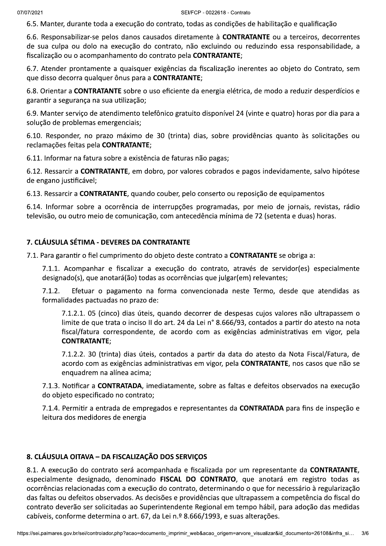6.5. Manter, durante toda a execução do contrato, todas as condições de habilitação e qualificação

6.6. Responsabilizar-se pelos danos causados diretamente à CONTRATANTE ou a terceiros, decorrentes de sua culpa ou dolo na execução do contrato, não excluindo ou reduzindo essa responsabilidade, a fiscalização ou o acompanhamento do contrato pela CONTRATANTE;

6.7. Atender prontamente a quaisquer exigências da fiscalização inerentes ao objeto do Contrato, sem que disso decorra qualquer ônus para a CONTRATANTE;

6.8. Orientar a CONTRATANTE sobre o uso eficiente da energia elétrica, de modo a reduzir desperdícios e garantir a segurança na sua utilização;

6.9. Manter serviço de atendimento telefônico gratuito disponível 24 (vinte e quatro) horas por dia para a solução de problemas emergenciais;

6.10. Responder, no prazo máximo de 30 (trinta) dias, sobre providências quanto às solicitações ou reclamações feitas pela CONTRATANTE;

6.11. Informar na fatura sobre a existência de faturas não pagas;

6.12. Ressarcir a CONTRATANTE, em dobro, por valores cobrados e pagos indevidamente, salvo hipótese de engano justificável;

6.13. Ressarcir a CONTRATANTE, quando couber, pelo conserto ou reposição de equipamentos

6.14. Informar sobre a ocorrência de interrupções programadas, por meio de jornais, revistas, rádio televisão, ou outro meio de comunicação, com antecedência mínima de 72 (setenta e duas) horas.

## 7. CLÁUSULA SÉTIMA - DEVERES DA CONTRATANTE

7.1. Para garantir o fiel cumprimento do objeto deste contrato a CONTRATANTE se obriga a:

7.1.1. Acompanhar e fiscalizar a execução do contrato, através de servidor(es) especialmente designado(s), que anotará(ão) todas as ocorrências que julgar(em) relevantes;

 $7.1.2.$ Efetuar o pagamento na forma convencionada neste Termo, desde que atendidas as formalidades pactuadas no prazo de:

7.1.2.1. 05 (cinco) dias úteis, quando decorrer de despesas cujos valores não ultrapassem o limite de que trata o inciso II do art. 24 da Lei nº 8.666/93, contados a partir do atesto na nota fiscal/fatura correspondente, de acordo com as exigências administrativas em vigor, pela **CONTRATANTE:** 

7.1.2.2. 30 (trinta) dias úteis, contados a partir da data do atesto da Nota Fiscal/Fatura, de acordo com as exigências administrativas em vigor, pela CONTRATANTE, nos casos que não se enquadrem na alínea acima;

7.1.3. Notificar a CONTRATADA, imediatamente, sobre as faltas e defeitos observados na execução do obieto especificado no contrato:

7.1.4. Permitir a entrada de empregados e representantes da CONTRATADA para fins de inspeção e leitura dos medidores de energia

## 8. CLÁUSULA OITAVA - DA FISCALIZAÇÃO DOS SERVIÇOS

8.1. A execução do contrato será acompanhada e fiscalizada por um representante da CONTRATANTE, especialmente designado, denominado FISCAL DO CONTRATO, que anotará em registro todas as ocorrências relacionadas com a execução do contrato, determinando o que for necessário à regularização das faltas ou defeitos observados. As decisões e providências que ultrapassem a competência do fiscal do contrato deverão ser solicitadas ao Superintendente Regional em tempo hábil, para adoção das medidas cabíveis, conforme determina o art. 67, da Lei n.º 8.666/1993, e suas alterações.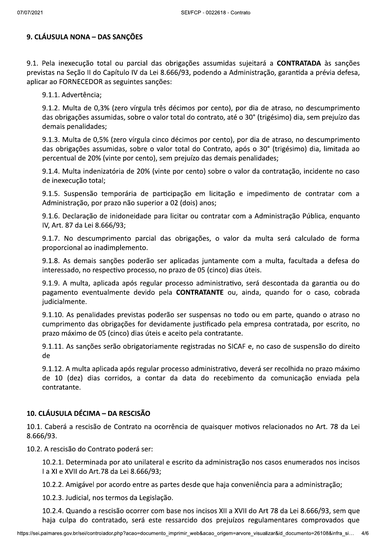# 9. CLÁUSULA NONA - DAS SANÇÕES

9.1. Pela inexecução total ou parcial das obrigações assumidas sujeitará a CONTRATADA às sanções previstas na Seção II do Capítulo IV da Lei 8.666/93, podendo a Administração, garantida a prévia defesa, aplicar ao FORNECEDOR as seguintes sanções:

9.1.1. Advertência;

9.1.2. Multa de 0,3% (zero vírgula três décimos por cento), por dia de atraso, no descumprimento das obrigações assumidas, sobre o valor total do contrato, até o 30° (trigésimo) dia, sem prejuízo das demais penalidades;

9.1.3. Multa de 0.5% (zero vírgula cinco décimos por cento), por dia de atraso, no descumprimento das obrigações assumidas, sobre o valor total do Contrato, após o 30° (trigésimo) dia, limitada ao percentual de 20% (vinte por cento), sem prejuízo das demais penalidades;

9.1.4. Multa indenizatória de 20% (vinte por cento) sobre o valor da contratação, incidente no caso de inexecução total;

9.1.5. Suspensão temporária de participação em licitação e impedimento de contratar com a Administração, por prazo não superior a 02 (dois) anos;

9.1.6. Declaração de inidoneidade para licitar ou contratar com a Administração Pública, enquanto IV, Art. 87 da Lei 8.666/93;

9.1.7. No descumprimento parcial das obrigações, o valor da multa será calculado de forma proporcional ao inadimplemento.

9.1.8. As demais sanções poderão ser aplicadas juntamente com a multa, facultada a defesa do interessado, no respectivo processo, no prazo de 05 (cinco) dias úteis.

9.1.9. A multa, aplicada após regular processo administrativo, será descontada da garantia ou do pagamento eventualmente devido pela **CONTRATANTE** ou, ainda, quando for o caso, cobrada judicialmente.

9.1.10. As penalidades previstas poderão ser suspensas no todo ou em parte, quando o atraso no cumprimento das obrigações for devidamente justificado pela empresa contratada, por escrito, no prazo máximo de 05 (cinco) dias úteis e aceito pela contratante.

9.1.11. As sanções serão obrigatoriamente registradas no SICAF e, no caso de suspensão do direito de

9.1.12. A multa aplicada após regular processo administrativo, deverá ser recolhida no prazo máximo de 10 (dez) dias corridos, a contar da data do recebimento da comunicação enviada pela contratante.

## 10. CLÁUSULA DÉCIMA - DA RESCISÃO

10.1. Caberá a rescisão de Contrato na ocorrência de quaisquer motivos relacionados no Art. 78 da Lei 8.666/93.

10.2. A rescisão do Contrato poderá ser:

10.2.1. Determinada por ato unilateral e escrito da administração nos casos enumerados nos incisos I a XI e XVII do Art.78 da Lei 8.666/93;

10.2.2. Amigável por acordo entre as partes desde que haja conveniência para a administração;

10.2.3. Judicial, nos termos da Legislação.

10.2.4. Quando a rescisão ocorrer com base nos incisos XII a XVII do Art 78 da Lei 8.666/93, sem que haja culpa do contratado, será este ressarcido dos prejuízos regulamentares comprovados que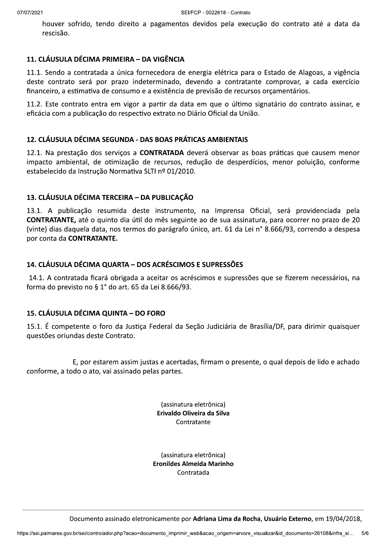houver sofrido, tendo direito a pagamentos devidos pela execução do contrato até a data da rescisão.

#### 11. CLÁUSULA DÉCIMA PRIMEIRA – DA VIGÊNCIA

11.1. Sendo a contratada a única fornecedora de energia elétrica para o Estado de Alagoas, a vigência deste contrato será por prazo indeterminado, devendo a contratante comprovar, a cada exercício financeiro, a estimativa de consumo e a existência de previsão de recursos orçamentários.

11.2. Este contrato entra em vigor a partir da data em que o último signatário do contrato assinar, e eficácia com a publicação do respectivo extrato no Diário Oficial da União.

#### 12. CLÁUSULA DÉCIMA SEGUNDA - DAS BOAS PRÁTICAS AMBIENTAIS

12.1. Na prestação dos servicos a CONTRATADA deverá observar as boas práticas que causem menor impacto ambiental, de otimização de recursos, redução de desperdícios, menor poluição, conforme estabelecido da Instrução Normativa SLTI nº 01/2010.

#### 13. CLÁUSULA DÉCIMA TERCEIRA - DA PUBLICAÇÃO

13.1. A publicação resumida deste instrumento, na Imprensa Oficial, será providenciada pela CONTRATANTE, até o quinto dia útil do mês seguinte ao de sua assinatura, para ocorrer no prazo de 20 (vinte) dias daquela data, nos termos do parágrafo único, art. 61 da Lei n° 8.666/93, correndo a despesa por conta da CONTRATANTE.

#### 14. CLÁUSULA DÉCIMA QUARTA – DOS ACRÉSCIMOS E SUPRESSÕES

14.1. A contratada ficará obrigada a aceitar os acréscimos e supressões que se fizerem necessários, na forma do previsto no § 1° do art. 65 da Lei 8.666/93.

# 15. CLÁUSULA DÉCIMA QUINTA - DO FORO

15.1. É competente o foro da Justiça Federal da Seção Judiciária de Brasília/DF, para dirimir quaisquer questões oriundas deste Contrato.

E, por estarem assim justas e acertadas, firmam o presente, o qual depois de lido e achado conforme, a todo o ato, vai assinado pelas partes.

> (assinatura eletrônica) Erivaldo Oliveira da Silva Contratante

(assinatura eletrônica) Eronildes Almeida Marinho Contratada

nento assinado eletronicamente por **Adriana Lima da Rocha, Usuário Externo**, em 19/04/2018,<br>controlador.php?acao=documento\_imprimir\_web&acao\_origem=arvore\_visualizar&id\_documento=26108&infra\_si... 5/6 Documento assinado eletronicamente por Adriana Lima da Rocha, Usuário Externo, em 19/04/2018,